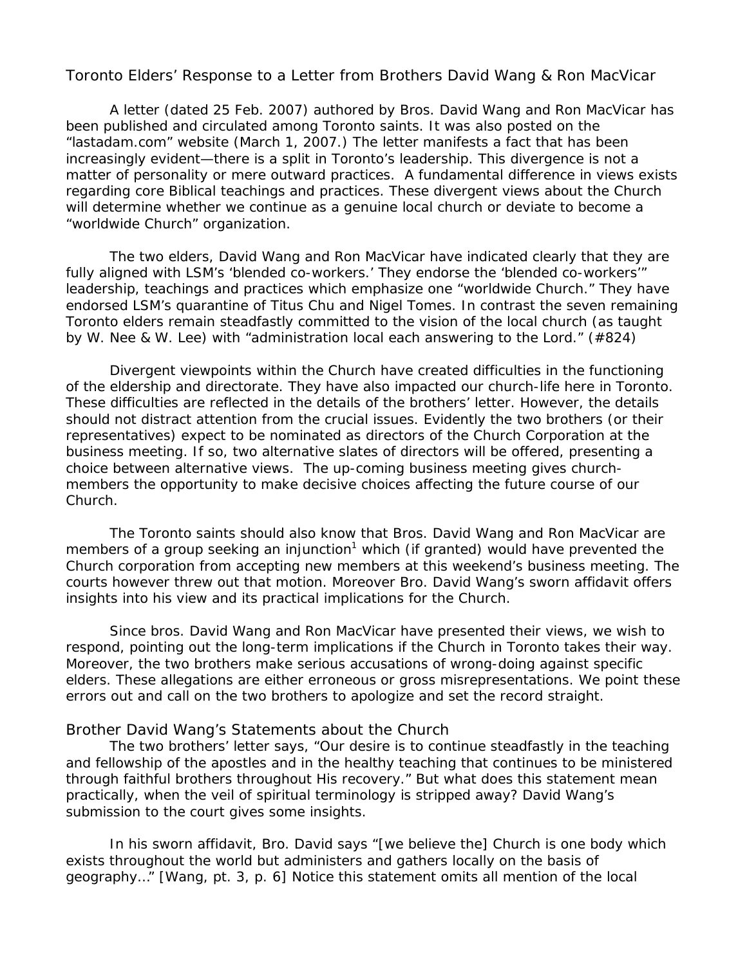Toronto Elders' Response to a Letter from Brothers David Wang & Ron MacVicar

A letter (dated 25 Feb. 2007) authored by Bros. David Wang and Ron MacVicar has been published and circulated among Toronto saints. It was also posted on the "lastadam.com" website (March 1, 2007.) The letter manifests a fact that has been increasingly evident—there is a split in Toronto's leadership. This divergence is not a matter of personality or mere outward practices. A fundamental difference in views exists regarding core Biblical teachings and practices. These divergent views about the Church will determine whether we continue as a genuine local church or deviate to become a "worldwide Church" organization.

 The two elders, David Wang and Ron MacVicar have indicated clearly that they are fully aligned with LSM's 'blended co-workers.' They endorse the 'blended co-workers'" leadership, teachings and practices which emphasize one "worldwide Church." They have endorsed LSM's quarantine of Titus Chu and Nigel Tomes. In contrast the seven remaining Toronto elders remain steadfastly committed to the vision of the local church (as taught by W. Nee & W. Lee) with "*administration local each answering to the Lord*." (#824)

 Divergent viewpoints within the Church have created difficulties in the functioning of the eldership and directorate. They have also impacted our church-life here in Toronto. These difficulties are reflected in the details of the brothers' letter. However, the details should not distract attention from the crucial issues. Evidently the two brothers (or their representatives) expect to be nominated as directors of the Church Corporation at the business meeting. If so, two alternative slates of directors will be offered, presenting a choice between alternative views. The up-coming business meeting gives churchmembers the opportunity to make decisive choices affecting the future course of our Church.

 The Toronto saints should also know that Bros. David Wang and Ron MacVicar are members of a group seeking an injunction<sup>1</sup> which (if granted) would have prevented the Church corporation from accepting new members at this weekend's business meeting. The courts however threw out that motion. Moreover Bro. David Wang's sworn affidavit offers insights into his view and its practical implications for the Church.

 Since bros. David Wang and Ron MacVicar have presented their views, we wish to respond, pointing out the long-term implications if the Church in Toronto takes their way. Moreover, the two brothers make serious accusations of wrong-doing against specific elders. These allegations are either erroneous or gross misrepresentations. We point these errors out and call on the two brothers to apologize and set the record straight.

### Brother David Wang's Statements about the Church

 The two brothers' letter says, "*Our desire is to continue steadfastly in the teaching and fellowship of the apostles and in the healthy teaching that continues to be ministered through faithful brothers throughout His recovery*." But what does this statement mean practically, when the veil of spiritual terminology is stripped away? David Wang's submission to the court gives some insights.

 In his sworn affidavit, Bro. David says "[we believe the] *Church is one body which exists throughout the world but administers and gathers locally on the basis of geography…*" [Wang, pt. 3, p. 6] Notice this statement omits all mention of the local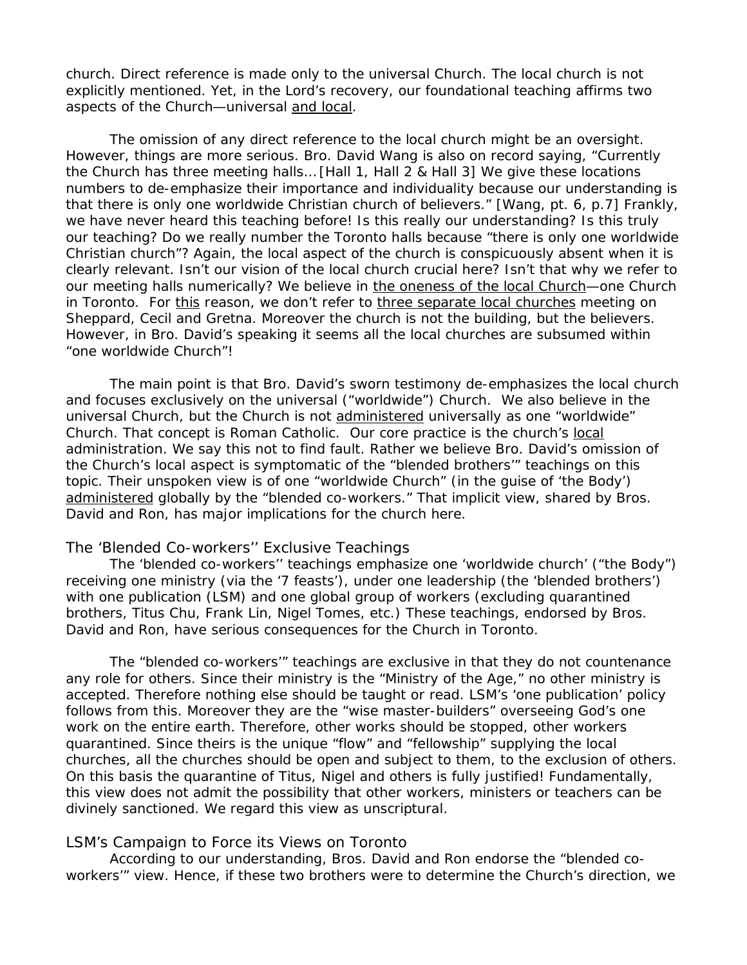church. Direct reference is made only to the universal Church. The local church is not explicitly mentioned. Yet, in the Lord's recovery, our foundational teaching affirms two aspects of the Church—universal and local.

 The omission of any direct reference to the local church might be an oversight. However, things are more serious. Bro. David Wang is also on record saying, "*Currently the Church has three meeting halls…* [Hall 1, Hall 2 & Hall 3] *We give these locations numbers to de-emphasize their importance and individuality because our understanding is that there is only one worldwide Christian church of believers*." [Wang, pt. 6, p.7] Frankly, we have never heard this teaching before! Is this really our understanding? Is this truly our teaching? Do we really number the Toronto halls because "*there is only one worldwide Christian church"?* Again, the local aspect of the church is conspicuously absent when it is clearly relevant. Isn't our vision of the local church crucial here? Isn't that why we refer to our meeting halls numerically? We believe in the oneness of the local Church—one Church in Toronto. For this reason, we don't refer to three separate local churches meeting on Sheppard, Cecil and Gretna. Moreover the church is not the building, but the believers. However, in Bro. David's speaking it seems all the local churches are subsumed within "one worldwide Church"!

 The main point is that Bro. David's sworn testimony de-emphasizes the local church and focuses exclusively on the universal ("worldwide") Church. We also believe in the universal Church, but the Church is not administered universally as one "worldwide" Church. That concept is Roman Catholic. Our core practice is the church's local administration. We say this not to find fault. Rather we believe Bro. David's omission of the Church's local aspect is symptomatic of the "blended brothers'" teachings on this topic. Their unspoken view is of one "worldwide Church" (in the guise of 'the Body') administered globally by the "blended co-workers." That implicit view, shared by Bros. David and Ron, has major implications for the church here.

#### The 'Blended Co-workers'' Exclusive Teachings

 The 'blended co-workers'' teachings emphasize one 'worldwide church' ("the Body") receiving one ministry (via the '7 feasts'), under one leadership (the 'blended brothers') with one publication (LSM) and one global group of workers (excluding quarantined brothers, Titus Chu, Frank Lin, Nigel Tomes, etc.) These teachings, endorsed by Bros. David and Ron, have serious consequences for the Church in Toronto.

 The "blended co-workers'" teachings are exclusive in that they do not countenance any role for others. Since their ministry is the "Ministry of the Age," no other ministry is accepted. Therefore nothing else should be taught or read. LSM's 'one publication' policy follows from this. Moreover they are the "wise master-builders" overseeing God's one work on the entire earth. Therefore, other works should be stopped, other workers quarantined. Since theirs is the unique "flow" and "fellowship" supplying the local churches, all the churches should be open and subject to them, to the exclusion of others. On this basis the quarantine of Titus, Nigel and others is fully justified! Fundamentally, this view does not admit the possibility that other workers, ministers or teachers can be divinely sanctioned. We regard this view as unscriptural.

#### LSM's Campaign to Force its Views on Toronto

 According to our understanding, Bros. David and Ron endorse the "blended coworkers'" view. Hence, if these two brothers were to determine the Church's direction, we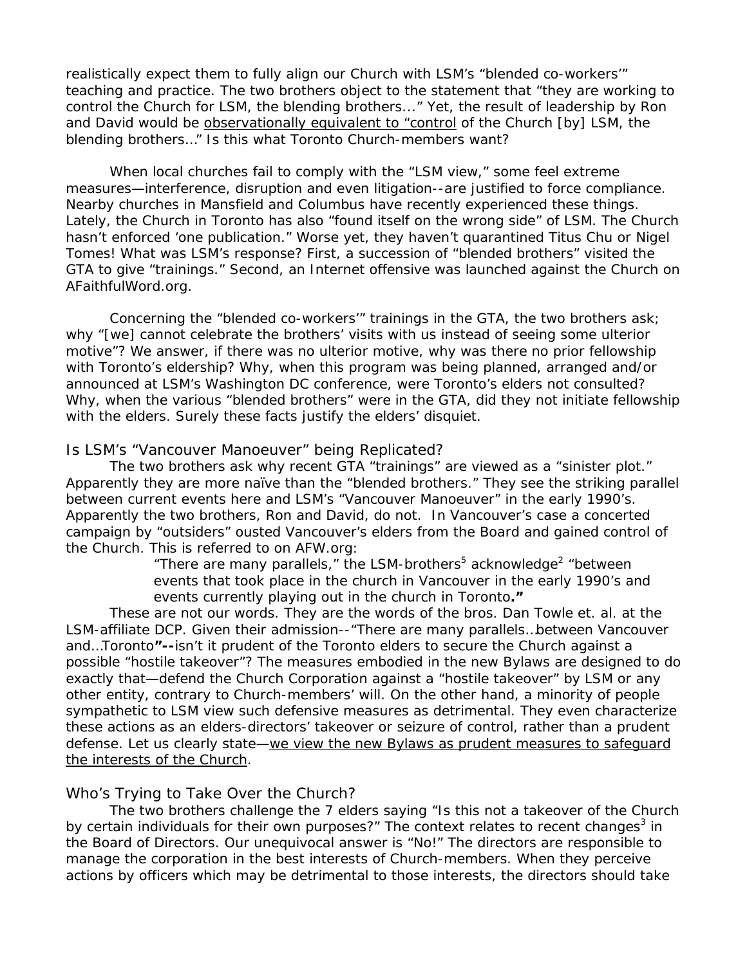realistically expect them to fully align our Church with LSM's "blended co-workers'" teaching and practice. The two brothers object to the statement that "*they are working to control the Church for LSM, the blending brothers..*." Yet, the result of leadership by Ron and David would be observationally equivalent to "*control of the Church [by] LSM, the blending brothers…"* Is this what Toronto Church-members want?

 When local churches fail to comply with the "LSM view," some feel extreme measures—interference, disruption and even litigation--are justified to force compliance. Nearby churches in Mansfield and Columbus have recently experienced these things. Lately, the Church in Toronto has also "found itself on the wrong side" of LSM. The Church hasn't enforced 'one publication." Worse yet, they haven't quarantined Titus Chu or Nigel Tomes! What was LSM's response? First, a succession of "blended brothers" visited the GTA to give "trainings." Second, an Internet offensive was launched against the Church on AFaithfulWord.org.

 Concerning the "blended co-workers'" trainings in the GTA, the two brothers ask; why "[we] *cannot celebrate the brothers' visits with us instead of seeing some ulterior motive*"? We answer, if there was no ulterior motive, why was there no prior fellowship with Toronto's eldership? Why, when this program was being planned, arranged and/or announced at LSM's Washington DC conference, were Toronto's elders not consulted? Why, when the various "blended brothers" were in the GTA, did they not initiate fellowship with the elders. Surely these facts justify the elders' disquiet.

#### Is LSM's "Vancouver Manoeuver" being Replicated?

 The two brothers ask why recent GTA "trainings" are viewed as a "sinister plot." Apparently they are more naïve than the "blended brothers." They see the striking parallel between current events here and LSM's "Vancouver Manoeuver" in the early 1990's. Apparently the two brothers, Ron and David, do not. In Vancouver's case a concerted campaign by "outsiders" ousted Vancouver's elders from the Board and gained control of the Church. This is referred to on AFW.org:

> " There are many parallels, " the LSM-brothers<sup>5</sup> acknowledge<sup>2</sup> "between *events that took place in the church in Vancouver in the early 1990's and events currently playing out in the church in Toronto***."**

 These are not our words. They are the words of the bros. Dan Towle *et. al*. at the LSM-affiliate DCP. Given their admission--"*There are many parallels…between Vancouver and…Toronto***"--**isn't it prudent of the Toronto elders to secure the Church against a possible "hostile takeover"? The measures embodied in the new Bylaws are designed to do exactly that—defend the Church Corporation against a "hostile takeover" by LSM or any other entity, contrary to Church-members' will. On the other hand, a minority of people sympathetic to LSM view such defensive measures as detrimental. They even characterize these actions as an elders-directors' takeover or seizure of control, rather than a prudent defense. Let us clearly state—we view the new Bylaws as prudent measures to safequard the interests of the Church.

### Who's Trying to Take Over the Church?

 The two brothers challenge the 7 elders saying "*Is this not a takeover of the Church*  by certain individuals for their own purposes?" The context relates to recent changes<sup>3</sup> in the Board of Directors. Our unequivocal answer is "No!" The directors are responsible to manage the corporation in the best interests of Church-members. When they perceive actions by officers which may be detrimental to those interests, the directors should take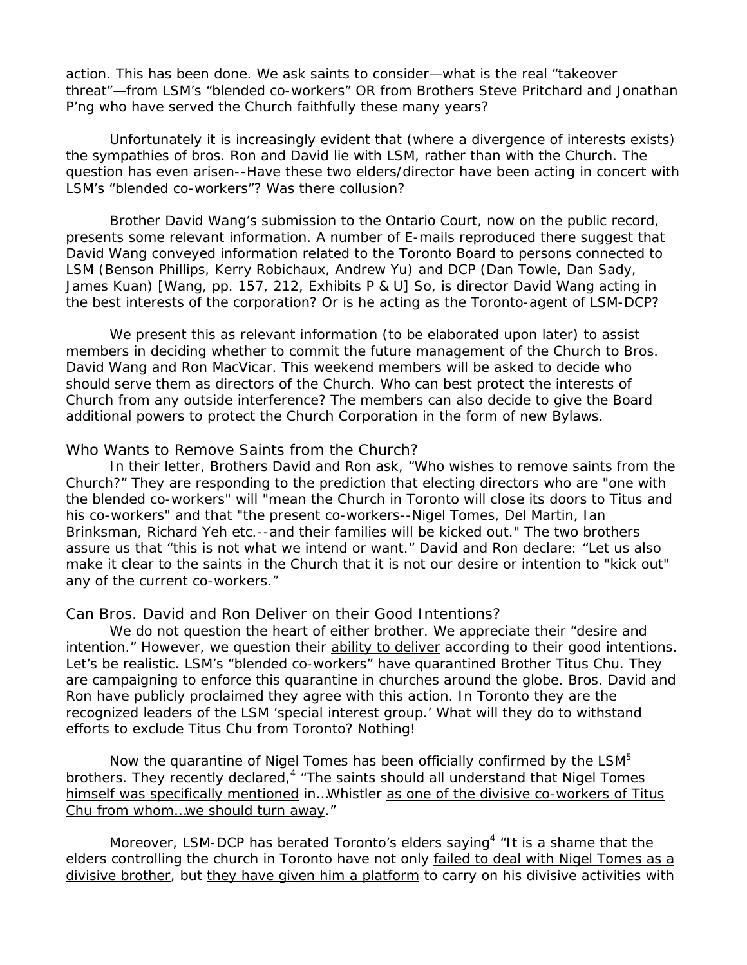action. This has been done. We ask saints to consider—what is the real "takeover threat"—from LSM's "blended co-workers" OR from Brothers Steve Pritchard and Jonathan P'ng who have served the Church faithfully these many years?

 Unfortunately it is increasingly evident that (where a divergence of interests exists) the sympathies of bros. Ron and David lie with LSM, rather than with the Church. The question has even arisen--Have these two elders/director have been acting in concert with LSM's "blended co-workers"? Was there collusion?

 Brother David Wang's submission to the Ontario Court, now on the public record, presents some relevant information. A number of E-mails reproduced there suggest that David Wang conveyed information related to the Toronto Board to persons connected to LSM (Benson Phillips, Kerry Robichaux, Andrew Yu) and DCP (Dan Towle, Dan Sady, James Kuan) [Wang, pp. 157, 212, Exhibits P & U] So, is director David Wang acting in the best interests of the corporation? Or is he acting as the Toronto-agent of LSM-DCP?

 We present this as relevant information (to be elaborated upon later) to assist members in deciding whether to commit the future management of the Church to Bros. David Wang and Ron MacVicar. This weekend members will be asked to decide who should serve them as directors of the Church. Who can best protect the interests of Church from any outside interference? The members can also decide to give the Board additional powers to protect the Church Corporation in the form of new Bylaws.

#### Who Wants to Remove Saints from the Church?

 In their letter, Brothers David and Ron ask, "*Who wishes to remove saints from the Church?*" They are responding to the prediction that electing directors who are "one with the blended co-workers" will "mean the Church in Toronto will close its doors to Titus and his co-workers" and that "the present co-workers--Nigel Tomes, Del Martin, Ian Brinksman, Richard Yeh etc.--and their families will be kicked out." The two brothers assure us that "*this is not what we intend or want*." David and Ron declare: "*Let us also make it clear to the saints in the Church that it is not our desire or intention to "kick out" any of the current co-workers*."

#### Can Bros. David and Ron Deliver on their Good Intentions?

 We do not question the heart of either brother. We appreciate their "desire and intention." However, we question their ability to deliver according to their good intentions. Let's be realistic. LSM's "blended co-workers" have quarantined Brother Titus Chu. They are campaigning to enforce this quarantine in churches around the globe. Bros. David and Ron have publicly proclaimed they agree with this action. In Toronto they are the recognized leaders of the LSM 'special interest group.' What will they do to withstand efforts to exclude Titus Chu from Toronto? Nothing!

Now the quarantine of Nigel Tomes has been officially confirmed by the LSM<sup>5</sup> brothers. They recently declared,<sup>4</sup> "*The saints should all understand that Nigel Tomes himself was specifically mentioned in…Whistler as one of the divisive co-workers of Titus Chu from whom…we should turn away."* 

Moreover, LSM-DCP has berated Toronto's elders saying<sup>4</sup> "*It is a shame that the elders controlling the church in Toronto have not only failed to deal with Nigel Tomes as a divisive brother, but they have given him a platform to carry on his divisive activities with*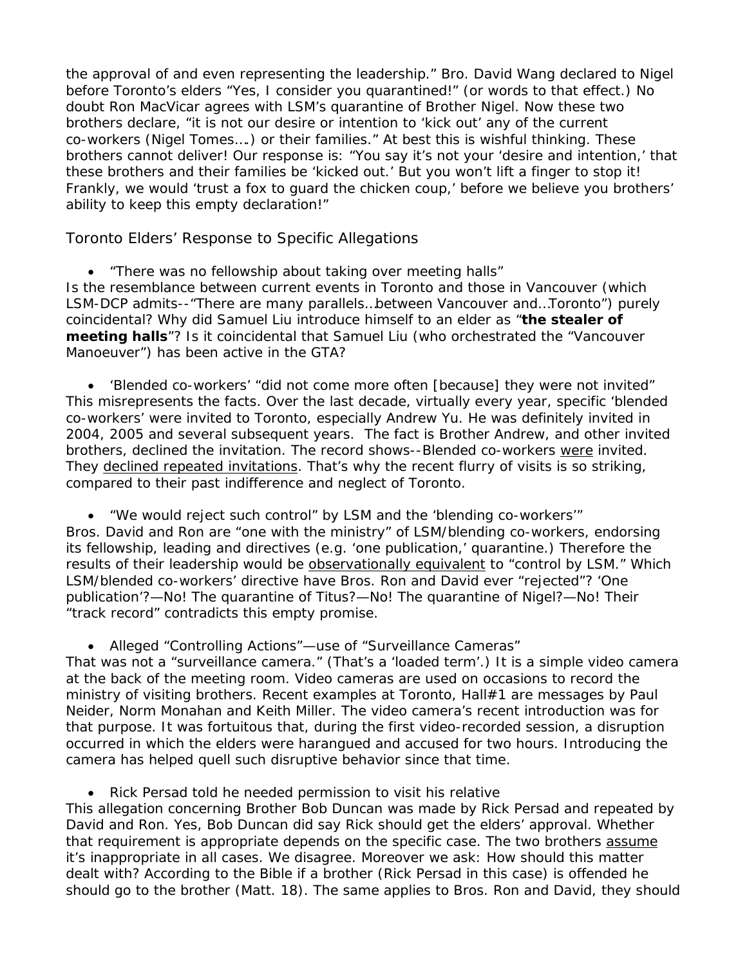*the approval of and even representing the leadership.*" Bro. David Wang declared to Nigel before Toronto's elders "Yes, I consider you quarantined!" (or words to that effect.) No doubt Ron MacVicar agrees with LSM's quarantine of Brother Nigel. Now these two brothers declare, "*it is not our desire or intention to 'kick out' any of the current co-workers (Nigel Tomes….) or their families*." At best this is wishful thinking. These brothers cannot deliver! Our response is: "You say it's not your 'desire and intention,' that these brothers and their families be 'kicked out.' But you won't lift a finger to stop it! Frankly, we would 'trust a fox to guard the chicken coup,' before we believe you brothers' ability to keep this empty declaration!"

Toronto Elders' Response to Specific Allegations

• "*There was no fellowship about taking over meeting halls*"

Is the resemblance between current events in Toronto and those in Vancouver (which LSM-DCP admits--"*There are many parallels…between Vancouver and…Toronto*") purely coincidental? Why did Samuel Liu introduce himself to an elder as "*the stealer of meeting halls*"? Is it coincidental that Samuel Liu (who orchestrated the "Vancouver Manoeuver") has been active in the GTA?

• '*Blended co-workers' "did not come more often [because] they were not invited*" This misrepresents the facts. Over the last decade, virtually every year, specific 'blended co-workers' were invited to Toronto, especially Andrew Yu. He was definitely invited in 2004, 2005 and several subsequent years. The fact is Brother Andrew, and other invited brothers, declined the invitation. The record shows--Blended co-workers were invited. They declined repeated invitations. That's why the recent flurry of visits is so striking, compared to their past indifference and neglect of Toronto.

• "*We would reject such control" by LSM and the 'blending co-workers'"* Bros. David and Ron are "one with the ministry" of LSM/blending co-workers, endorsing its fellowship, leading and directives (e.g. 'one publication,' quarantine.) Therefore the results of their leadership would be observationally equivalent to "*control by LSM*." Which LSM/blended co-workers' directive have Bros. Ron and David ever "rejected"? 'One publication'?—No! The quarantine of Titus?—No! The quarantine of Nigel?—No! Their "track record" contradicts this empty promise.

## • Alleged "*Controlling Actions"—*use of *"Surveillance Cameras*"

That was not a "surveillance camera." (That's a 'loaded term'.) It is a simple video camera at the back of the meeting room. Video cameras are used on occasions to record the ministry of visiting brothers. Recent examples at Toronto, Hall#1 are messages by Paul Neider, Norm Monahan and Keith Miller. The video camera's recent introduction was for that purpose. It was fortuitous that, during the first video-recorded session, a disruption occurred in which the elders were harangued and accused for two hours. Introducing the camera has helped quell such disruptive behavior since that time.

## • *Rick Persad told he needed permission to visit his relative*

This allegation concerning Brother Bob Duncan was made by Rick Persad and repeated by David and Ron. Yes, Bob Duncan did say Rick should get the elders' approval. Whether that requirement is appropriate depends on the specific case. The two brothers assume it's inappropriate in all cases. We disagree. Moreover we ask: How should this matter dealt with? According to the Bible if a brother (Rick Persad in this case) is offended he should go to the brother (Matt. 18). The same applies to Bros. Ron and David, they should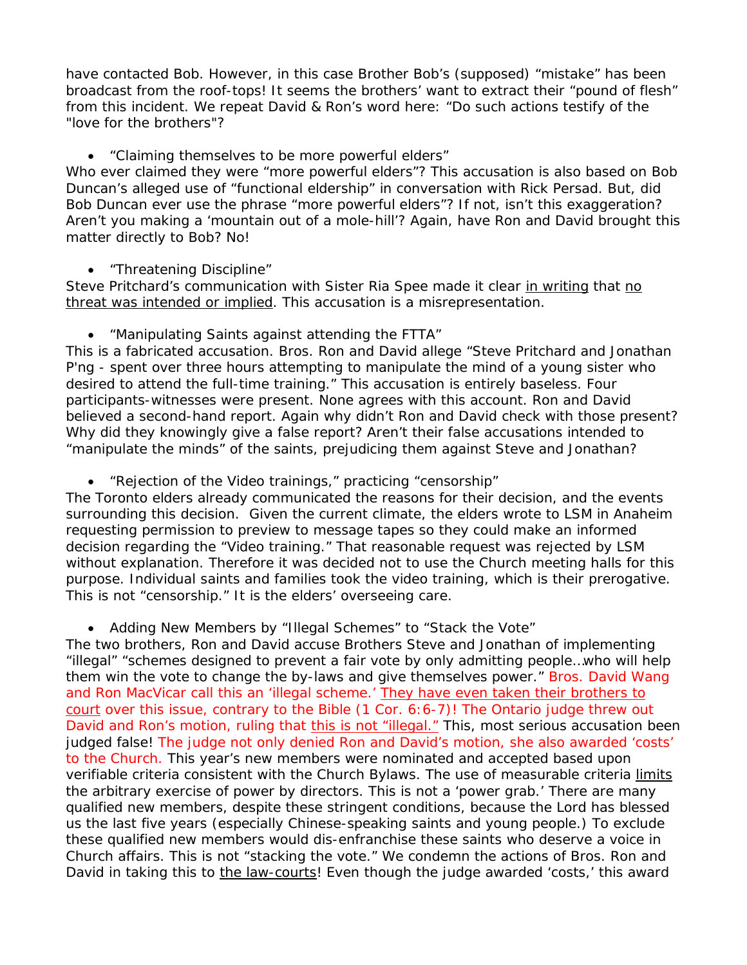have contacted Bob. However, in this case Brother Bob's (supposed) "mistake" has been broadcast from the roof-tops! It seems the brothers' want to extract their "pound of flesh" from this incident. We repeat David & Ron's word here: "Do such actions testify of the "love for the brothers"?

### • "*Claiming themselves to be more powerful elders*"

Who ever claimed they were "more powerful elders"? This accusation is also based on Bob Duncan's alleged use of "functional eldership" in conversation with Rick Persad. But, did Bob Duncan ever use the phrase "more powerful elders"? If not, isn't this exaggeration? Aren't you making a 'mountain out of a mole-hill'? Again, have Ron and David brought this matter directly to Bob? No!

### • "*Threatening Discipline*"

Steve Pritchard's communication with Sister Ria Spee made it clear in writing that no threat was intended or implied. This accusation is a misrepresentation.

## • "*Manipulating Saints against attending the FTTA*"

This is a fabricated accusation. Bros. Ron and David allege "*Steve Pritchard and Jonathan P'ng - spent over three hours attempting to manipulate the mind of a young sister who desired to attend the full-time training*." This accusation is entirely baseless. Four participants-witnesses were present. None agrees with this account. Ron and David believed a second-hand report. Again why didn't Ron and David check with those present? Why did they knowingly give a false report? Aren't their false accusations intended to "*manipulate the minds"* of the saints, prejudicing them against Steve and Jonathan?

## • "*Rejection of the Video trainings*," practicing "*censorship*"

The Toronto elders already communicated the reasons for their decision, and the events surrounding this decision. Given the current climate, the elders wrote to LSM in Anaheim requesting permission to preview to message tapes so they could make an informed decision regarding the "Video training." That reasonable request was rejected by LSM without explanation. Therefore it was decided not to use the Church meeting halls for this purpose. Individual saints and families took the video training, which is their prerogative. This is not "censorship." It is the elders' overseeing care.

## • Adding New Members by "*Illegal Schemes*" to "*Stack the Vote*"

The two brothers, Ron and David accuse Brothers Steve and Jonathan of implementing "*illegal" "schemes designed to prevent a fair vote by only admitting people…who will help them win the vote to change the by-laws and give themselves power*." Bros. David Wang and Ron MacVicar call this an 'illegal scheme.' They have even taken their brothers to court over this issue, contrary to the Bible (1 Cor. 6:6-7)! The Ontario judge threw out David and Ron's motion, ruling that this is not "illegal." This, most serious accusation been judged false! The judge not only denied Ron and David's motion, she also awarded 'costs' to the Church. This year's new members were nominated and accepted based upon verifiable criteria consistent with the Church Bylaws. The use of measurable criteria limits the arbitrary exercise of power by directors. This is not a 'power grab.' There are many qualified new members, despite these stringent conditions, because the Lord has blessed us the last five years (especially Chinese-speaking saints and young people.) To exclude these qualified new members would dis-enfranchise these saints who deserve a voice in Church affairs. This is not "stacking the vote." We condemn the actions of Bros. Ron and David in taking this to the law-courts! Even though the judge awarded 'costs,' this award